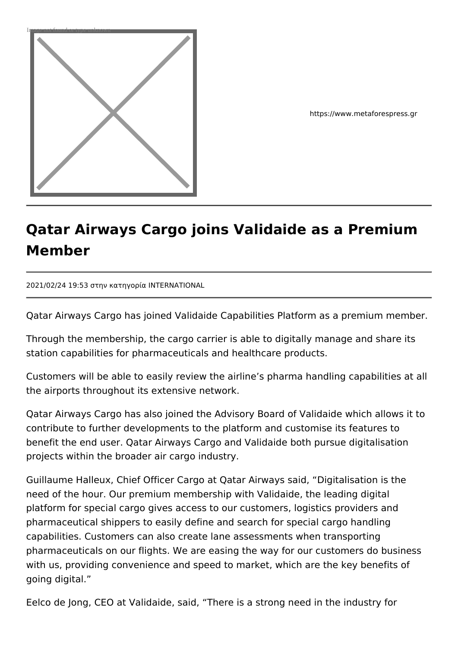

https://www.metaforespress.gr

## **Qatar Airways Cargo joins Validaide as a Premium Member**

2021/02/24 19:53 στην κατηγορία INTERNATIONAL

Qatar Airways Cargo has joined Validaide Capabilities Platform as a premium member.

Through the membership, the cargo carrier is able to digitally manage and share its station capabilities for pharmaceuticals and healthcare products.

Customers will be able to easily review the airline's pharma handling capabilities at all the airports throughout its extensive network.

Qatar Airways Cargo has also joined the Advisory Board of Validaide which allows it to contribute to further developments to the platform and customise its features to benefit the end user. Qatar Airways Cargo and Validaide both pursue digitalisation projects within the broader air cargo industry.

Guillaume Halleux, Chief Officer Cargo at Qatar Airways said, "Digitalisation is the need of the hour. Our premium membership with Validaide, the leading digital platform for special cargo gives access to our customers, logistics providers and pharmaceutical shippers to easily define and search for special cargo handling capabilities. Customers can also create lane assessments when transporting pharmaceuticals on our flights. We are easing the way for our customers do business with us, providing convenience and speed to market, which are the key benefits of going digital."

Eelco de Jong, CEO at Validaide, said, "There is a strong need in the industry for